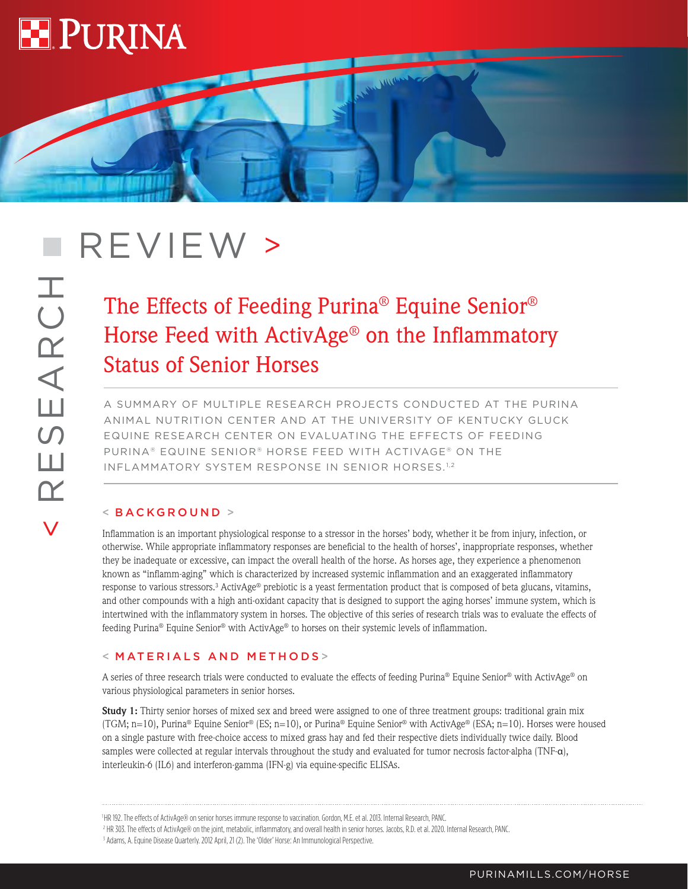

< RESEARCH

Ш

 $\overline{\mathbf{K}}$ 

SEARCH

# **REVIEW** >

# The Effects of Feeding Purina® Equine Senior® Horse Feed with ActivAge® on the Inflammatory Status of Senior Horses

**CALLON** 

A SUMMARY OF MULTIPLE RESEARCH PROJECTS CONDUCTED AT THE PURINA ANIMAL NUTRITION CENTER AND AT THE UNIVERSITY OF KENTUCKY GLUCK EQUINE RESEARCH CENTER ON EVALUATING THE EFFECTS OF FEEDING PURINA® EQUINE SENIOR® HORSE FEED WITH ACTIVAGE® ON THE INFLAMMATORY SYSTEM RESPONSE IN SENIOR HORSES.<sup>1,2</sup>

## < BACKGROUND >

Inflammation is an important physiological response to a stressor in the horses' body, whether it be from injury, infection, or otherwise. While appropriate inflammatory responses are beneficial to the health of horses', inappropriate responses, whether they be inadequate or excessive, can impact the overall health of the horse. As horses age, they experience a phenomenon known as "inflamm-aging" which is characterized by increased systemic inflammation and an exaggerated inflammatory response to various stressors.3 ActivAge® prebiotic is a yeast fermentation product that is composed of beta glucans, vitamins, and other compounds with a high anti-oxidant capacity that is designed to support the aging horses' immune system, which is intertwined with the inflammatory system in horses. The objective of this series of research trials was to evaluate the effects of feeding Purina® Equine Senior® with ActivAge® to horses on their systemic levels of inflammation.

#### < MATERIALS AND METHODS >

A series of three research trials were conducted to evaluate the effects of feeding Purina® Equine Senior® with ActivAge® on various physiological parameters in senior horses.

**Study 1:** Thirty senior horses of mixed sex and breed were assigned to one of three treatment groups: traditional grain mix (TGM; n=10), Purina® Equine Senior® (ES; n=10), or Purina® Equine Senior® with ActivAge® (ESA; n=10). Horses were housed on a single pasture with free-choice access to mixed grass hay and fed their respective diets individually twice daily. Blood samples were collected at regular intervals throughout the study and evaluated for tumor necrosis factor-alpha (TNF-α), interleukin-6 (IL6) and interferon-gamma (IFN-g) via equine-specific ELISAs.

<sup>1</sup> HR 192. The effects of ActivAge® on senior horses immune response to vaccination. Gordon, M.E. et al. 2013. Internal Research, PANC.

<sup>2</sup> HR 303. The effects of ActivAge® on the joint, metabolic, inflammatory, and overall health in senior horses. Jacobs, R.D. et al. 2020. Internal Research, PANC.

<sup>3</sup> Adams, A. Equine Disease Quarterly. 2012 April, 21 (2). The 'Older' Horse: An Immunological Perspective.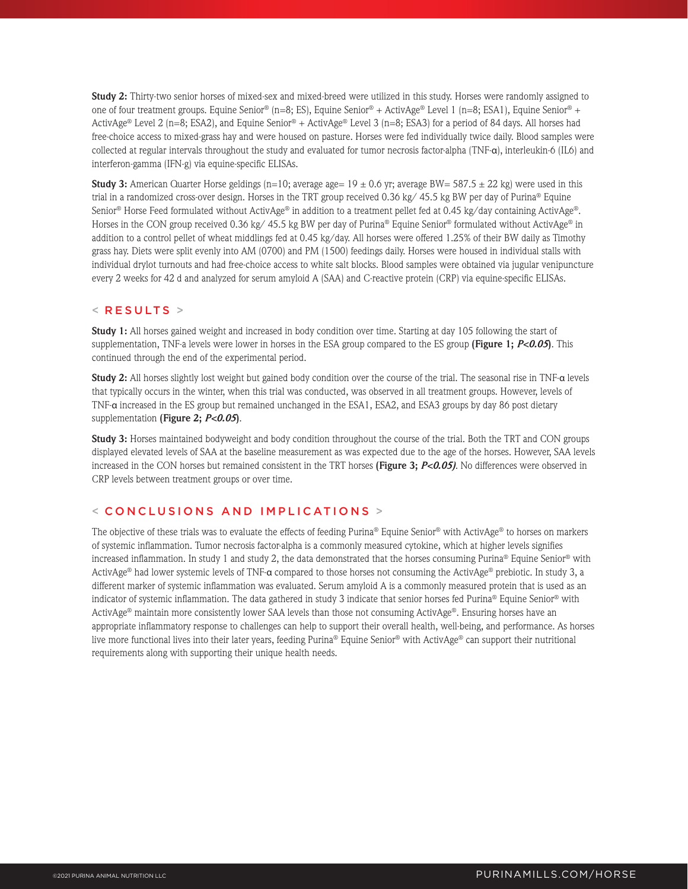**Study 2:** Thirty-two senior horses of mixed-sex and mixed-breed were utilized in this study. Horses were randomly assigned to one of four treatment groups. Equine Senior® (n=8; ES), Equine Senior® + ActivAge® Level 1 (n=8; ESA1), Equine Senior® + ActivAge® Level 2 (n=8; ESA2), and Equine Senior® + ActivAge® Level 3 (n=8; ESA3) for a period of 84 days. All horses had free-choice access to mixed-grass hay and were housed on pasture. Horses were fed individually twice daily. Blood samples were collected at regular intervals throughout the study and evaluated for tumor necrosis factor-alpha (TNF-α), interleukin-6 (IL6) and interferon-gamma (IFN-g) via equine-specific ELISAs.

**Study 3:** American Quarter Horse geldings (n=10; average age=  $19 \pm 0.6$  yr; average BW= 587.5  $\pm$  22 kg) were used in this trial in a randomized cross-over design. Horses in the TRT group received 0.36 kg/ 45.5 kg BW per day of Purina® Equine Senior® Horse Feed formulated without ActivAge® in addition to a treatment pellet fed at 0.45 kg/day containing ActivAge®. Horses in the CON group received 0.36 kg/ 45.5 kg BW per day of Purina® Equine Senior® formulated without ActivAge® in addition to a control pellet of wheat middlings fed at 0.45 kg/day. All horses were offered 1.25% of their BW daily as Timothy grass hay. Diets were split evenly into AM (0700) and PM (1500) feedings daily. Horses were housed in individual stalls with individual drylot turnouts and had free-choice access to white salt blocks. Blood samples were obtained via jugular venipuncture every 2 weeks for 42 d and analyzed for serum amyloid A (SAA) and C-reactive protein (CRP) via equine-specific ELISAs.

#### $<$  RESULTS  $>$

**Study 1:** All horses gained weight and increased in body condition over time. Starting at day 105 following the start of supplementation, TNF-a levels were lower in horses in the ESA group compared to the ES group **(Figure 1;** *P<0.05***)**. This continued through the end of the experimental period.

**Study 2:** All horses slightly lost weight but gained body condition over the course of the trial. The seasonal rise in TNF-α levels that typically occurs in the winter, when this trial was conducted, was observed in all treatment groups. However, levels of TNF-α increased in the ES group but remained unchanged in the ESA1, ESA2, and ESA3 groups by day 86 post dietary supplementation **(Figure 2;** *P<0.05***)**.

**Study 3:** Horses maintained bodyweight and body condition throughout the course of the trial. Both the TRT and CON groups displayed elevated levels of SAA at the baseline measurement as was expected due to the age of the horses. However, SAA levels increased in the CON horses but remained consistent in the TRT horses **(Figure 3;** *P<0.05)*. No differences were observed in CRP levels between treatment groups or over time.

### < CONCLUSIONS AND IMPLICATIONS >

The objective of these trials was to evaluate the effects of feeding Purina® Equine Senior® with ActivAge® to horses on markers of systemic inflammation. Tumor necrosis factor-alpha is a commonly measured cytokine, which at higher levels signifies increased inflammation. In study 1 and study 2, the data demonstrated that the horses consuming Purina® Equine Senior® with ActivAge® had lower systemic levels of TNF-α compared to those horses not consuming the ActivAge® prebiotic. In study 3, a different marker of systemic inflammation was evaluated. Serum amyloid A is a commonly measured protein that is used as an indicator of systemic inflammation. The data gathered in study 3 indicate that senior horses fed Purina® Equine Senior® with ActivAge® maintain more consistently lower SAA levels than those not consuming ActivAge®. Ensuring horses have an appropriate inflammatory response to challenges can help to support their overall health, well-being, and performance. As horses live more functional lives into their later years, feeding Purina® Equine Senior® with ActivAge® can support their nutritional requirements along with supporting their unique health needs.